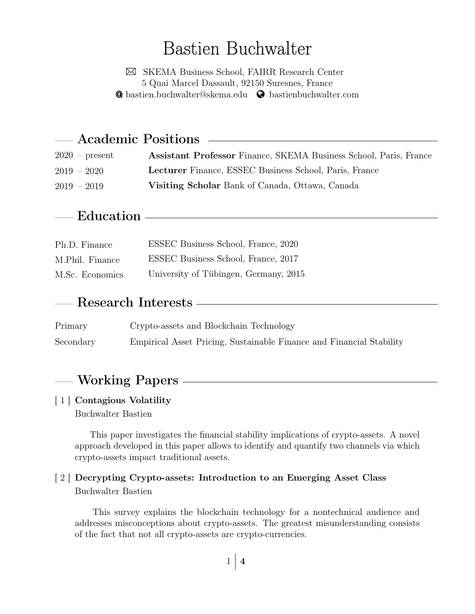# Bastien Buchwalter

 SKEMA Business School, FAIRR Research Center 5 Quai Marcel Dassault, 92150 Suresnes, France **@** [bastien.buchwalter@skema.edu](mailto:bastien.buchwalter@skema.edu) **@** [bastienbuchwalter.com](http://bastienbuchwalter.com)

| — Academic Positions |                                                                   |  |  |  |
|----------------------|-------------------------------------------------------------------|--|--|--|
| $2020$ – present     | Assistant Professor Finance, SKEMA Business School, Paris, France |  |  |  |
| $2019 - 2020$        | <b>Lecturer</b> Finance, ESSEC Business School, Paris, France     |  |  |  |
| $2019 - 2019$        | Visiting Scholar Bank of Canada, Ottawa, Canada                   |  |  |  |

# Education -

| Ph.D. Finance   | ESSEC Business School, France, 2020   |
|-----------------|---------------------------------------|
| M.Phil. Finance | ESSEC Business School, France, 2017   |
| M.Sc. Economics | University of Tübingen, Germany, 2015 |

# Research Interests

| Primary   | Crypto-assets and Blockchain Technology                              |
|-----------|----------------------------------------------------------------------|
| Secondary | Empirical Asset Pricing, Sustainable Finance and Financial Stability |

# - Working Papers -

#### <span id="page-0-0"></span>[ 1 ] Contagious Volatility Buchwalter Bastien

This paper investigates the financial stability implications of crypto-assets. A novel approach developed in this paper allows to identify and quantify two channels via which crypto-assets impact traditional assets.

### <span id="page-0-1"></span>[ 2 ] Decrypting Crypto-assets: Introduction to an Emerging Asset Class Buchwalter Bastien

This survey explains the blockchain technology for a nontechnical audience and addresses misconceptions about crypto-assets. The greatest misunderstanding consists of the fact that not all crypto-assets are crypto-currencies.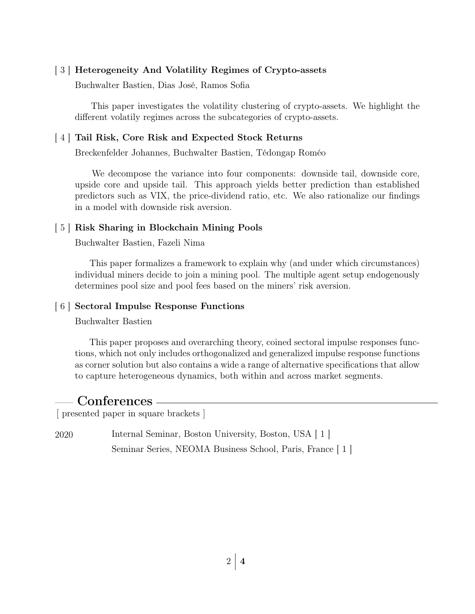#### <span id="page-1-0"></span>[ 3 ] Heterogeneity And Volatility Regimes of Crypto-assets

Buchwalter Bastien, Dias José, Ramos Sofia

This paper investigates the volatility clustering of crypto-assets. We highlight the different volatily regimes across the subcategories of crypto-assets.

#### <span id="page-1-1"></span>[ 4 ] Tail Risk, Core Risk and Expected Stock Returns

Breckenfelder Johannes, Buchwalter Bastien, Tédongap Roméo

We decompose the variance into four components: downside tail, downside core, upside core and upside tail. This approach yields better prediction than established predictors such as VIX, the price-dividend ratio, etc. We also rationalize our findings in a model with downside risk aversion.

#### [ 5 ] Risk Sharing in Blockchain Mining Pools

Buchwalter Bastien, Fazeli Nima

This paper formalizes a framework to explain why (and under which circumstances) individual miners decide to join a mining pool. The multiple agent setup endogenously determines pool size and pool fees based on the miners' risk aversion.

#### [ 6 ] Sectoral Impulse Response Functions

Buchwalter Bastien

This paper proposes and overarching theory, coined sectoral impulse responses functions, which not only includes orthogonalized and generalized impulse response functions as corner solution but also contains a wide a range of alternative specifications that allow to capture heterogeneous dynamics, both within and across market segments.

### Conferences -

[ presented paper in square brackets ]

2020 Internal Seminar, Boston University, Boston, USA [\[ 1 \]](#page-0-0) Seminar Series, NEOMA Business School, Paris, France [\[ 1 \]](#page-0-0)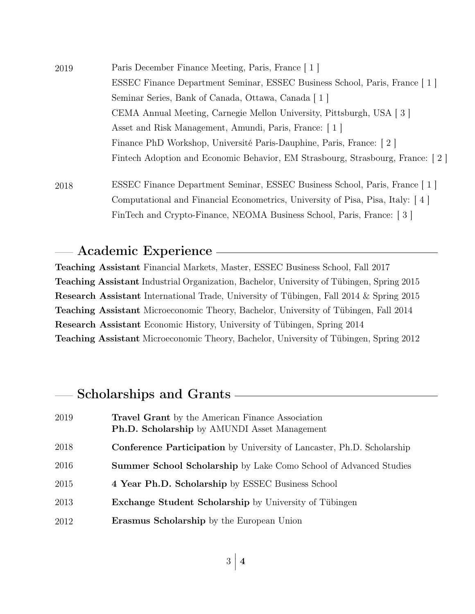| 2019 | Paris December Finance Meeting, Paris, France [1]                             |  |  |
|------|-------------------------------------------------------------------------------|--|--|
|      | ESSEC Finance Department Seminar, ESSEC Business School, Paris, France   1    |  |  |
|      | Seminar Series, Bank of Canada, Ottawa, Canada   1                            |  |  |
|      | CEMA Annual Meeting, Carnegie Mellon University, Pittsburgh, USA [3]          |  |  |
|      | Asset and Risk Management, Amundi, Paris, France: 1                           |  |  |
|      | Finance PhD Workshop, Université Paris-Dauphine, Paris, France: 2             |  |  |
|      | Fintech Adoption and Economic Behavior, EM Strasbourg, Strasbourg, France: 2. |  |  |
| 2018 | ESSEC Finance Department Seminar, ESSEC Business School, Paris, France   1    |  |  |
|      | Computational and Financial Econometrics, University of Pisa, Pisa, Italy: 4  |  |  |
|      | FinTech and Crypto-Finance, NEOMA Business School, Paris, France: [3]         |  |  |

### —— Academic Experience

Teaching Assistant Financial Markets, Master, ESSEC Business School, Fall 2017 Teaching Assistant Industrial Organization, Bachelor, University of Tübingen, Spring 2015 Research Assistant International Trade, University of Tübingen, Fall 2014 & Spring 2015 Teaching Assistant Microeconomic Theory, Bachelor, University of Tübingen, Fall 2014 Research Assistant Economic History, University of Tübingen, Spring 2014 Teaching Assistant Microeconomic Theory, Bachelor, University of Tübingen, Spring 2012

## - Scholarships and Grants -

| 2019 | <b>Travel Grant</b> by the American Finance Association<br><b>Ph.D. Scholarship</b> by AMUNDI Asset Management |
|------|----------------------------------------------------------------------------------------------------------------|
| 2018 | <b>Conference Participation</b> by University of Lancaster, Ph.D. Scholarship                                  |
| 2016 | <b>Summer School Scholarship</b> by Lake Como School of Advanced Studies                                       |
| 2015 | 4 Year Ph.D. Scholarship by ESSEC Business School                                                              |
| 2013 | <b>Exchange Student Scholarship</b> by University of Tübingen                                                  |
| 2012 | <b>Erasmus Scholarship</b> by the European Union                                                               |